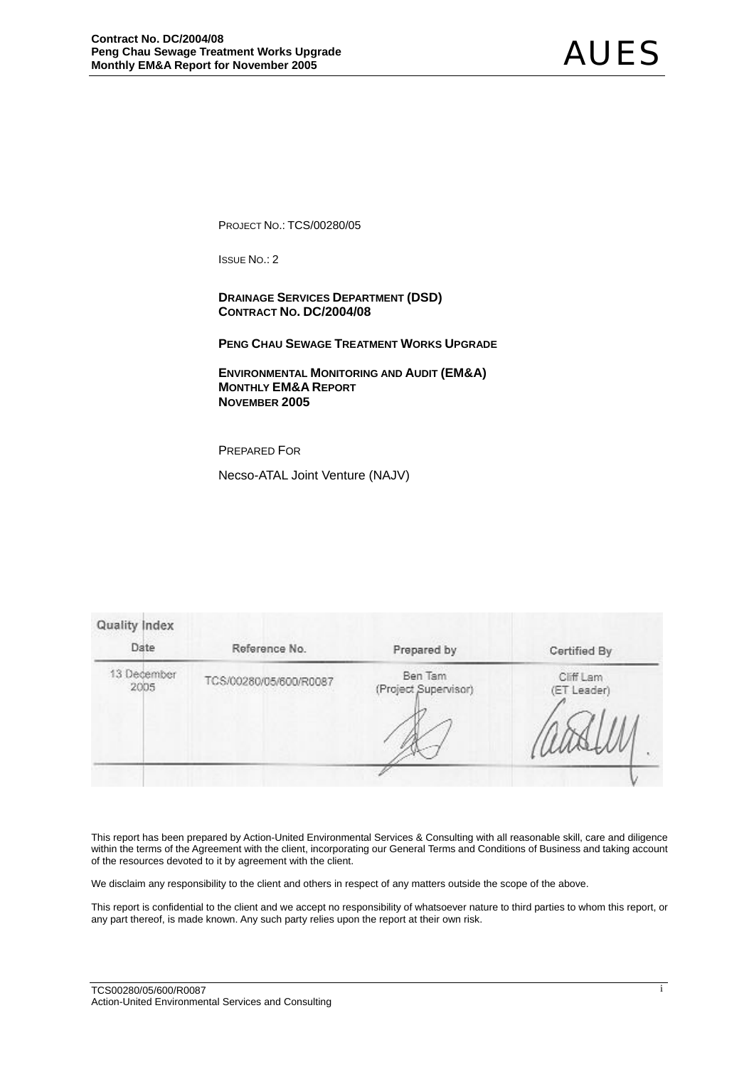PROJECT NO.: TCS/00280/05

ISSUE NO.: 2

 **DRAINAGE SERVICES DEPARTMENT (DSD) CONTRACT NO. DC/2004/08** 

**PENG CHAU SEWAGE TREATMENT WORKS UPGRADE**

 **ENVIRONMENTAL MONITORING AND AUDIT (EM&A) MONTHLY EM&A REPORT NOVEMBER 2005** 

PREPARED FOR

Necso-ATAL Joint Venture (NAJV)

| Date        | Reference No.          | Prepared by          | Certified By |
|-------------|------------------------|----------------------|--------------|
| 13 December | TCS/00280/05/600/R0087 | Ben Tam              | Cliff Lam    |
| 2005        |                        | (Project Supervisor) | (ET Leader)  |

This report has been prepared by Action-United Environmental Services & Consulting with all reasonable skill, care and diligence within the terms of the Agreement with the client, incorporating our General Terms and Conditions of Business and taking account of the resources devoted to it by agreement with the client.

We disclaim any responsibility to the client and others in respect of any matters outside the scope of the above.

This report is confidential to the client and we accept no responsibility of whatsoever nature to third parties to whom this report, or any part thereof, is made known. Any such party relies upon the report at their own risk.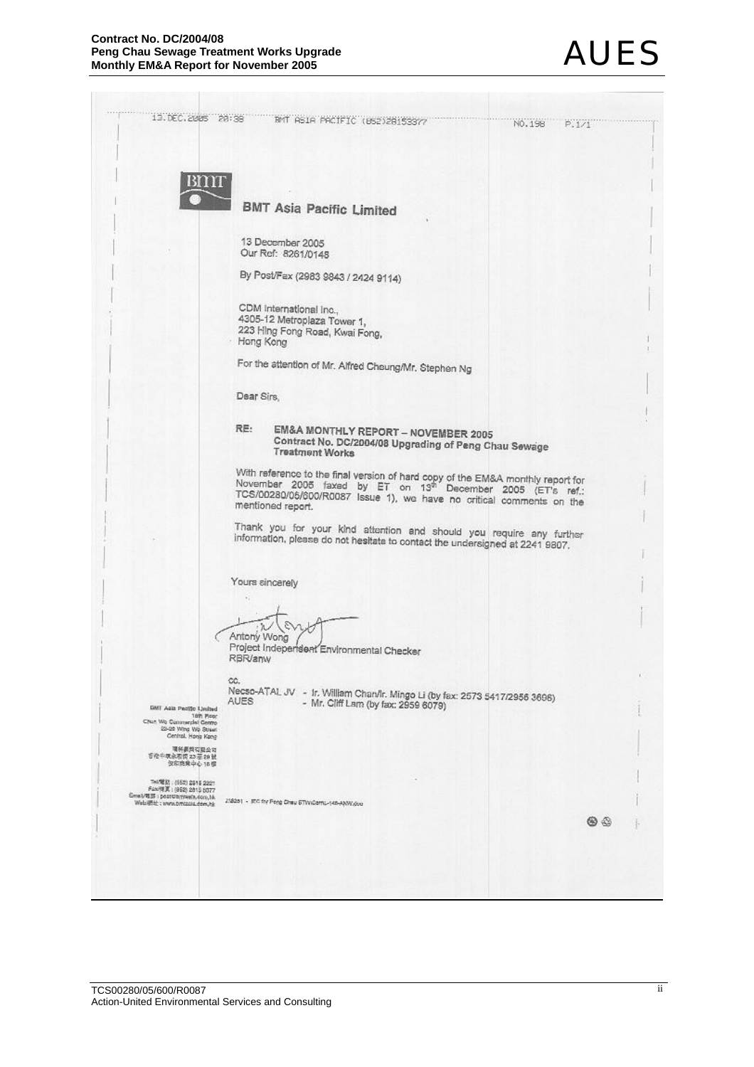| BITTI<br>RE:                                                                                                                | <b>BMT Asia Pacific Limited</b><br>13 December 2005<br>Our Ref: 8261/0148<br>By Post/Fax (2983 9843 / 2424 9114)<br>CDM International Inc.,<br>4305-12 Metroplaza Tower 1,<br>223 Hing Fong Road, Kwai Fong,<br>Hong Kong<br>For the attention of Mr. Alfred Cheung/Mr. Stephen Ng<br>Dear Sirs,<br>EM&A MONTHLY REPORT - NOVEMBER 2005<br>Contract No. DC/2004/08 Upgrading of Peng Chau Sewage<br><b>Treatment Works</b><br>With reference to the final version of hard copy of the EM&A monthly report for<br>November 2005 faxed by ET on 13 <sup>th</sup> December 2005 (ET's ref.:<br>TCS/00280/05/600/R0087 Issue 1), we have no critical comments on the<br>mentioned report.<br>Thank you for your kind attention and should you require any further<br>information, please do not hesitate to contact the undersigned at 2241 9807. |    |
|-----------------------------------------------------------------------------------------------------------------------------|-----------------------------------------------------------------------------------------------------------------------------------------------------------------------------------------------------------------------------------------------------------------------------------------------------------------------------------------------------------------------------------------------------------------------------------------------------------------------------------------------------------------------------------------------------------------------------------------------------------------------------------------------------------------------------------------------------------------------------------------------------------------------------------------------------------------------------------------------|----|
|                                                                                                                             |                                                                                                                                                                                                                                                                                                                                                                                                                                                                                                                                                                                                                                                                                                                                                                                                                                               |    |
|                                                                                                                             |                                                                                                                                                                                                                                                                                                                                                                                                                                                                                                                                                                                                                                                                                                                                                                                                                                               |    |
|                                                                                                                             |                                                                                                                                                                                                                                                                                                                                                                                                                                                                                                                                                                                                                                                                                                                                                                                                                                               |    |
|                                                                                                                             |                                                                                                                                                                                                                                                                                                                                                                                                                                                                                                                                                                                                                                                                                                                                                                                                                                               |    |
|                                                                                                                             |                                                                                                                                                                                                                                                                                                                                                                                                                                                                                                                                                                                                                                                                                                                                                                                                                                               |    |
|                                                                                                                             |                                                                                                                                                                                                                                                                                                                                                                                                                                                                                                                                                                                                                                                                                                                                                                                                                                               |    |
|                                                                                                                             |                                                                                                                                                                                                                                                                                                                                                                                                                                                                                                                                                                                                                                                                                                                                                                                                                                               |    |
|                                                                                                                             |                                                                                                                                                                                                                                                                                                                                                                                                                                                                                                                                                                                                                                                                                                                                                                                                                                               |    |
|                                                                                                                             |                                                                                                                                                                                                                                                                                                                                                                                                                                                                                                                                                                                                                                                                                                                                                                                                                                               |    |
|                                                                                                                             |                                                                                                                                                                                                                                                                                                                                                                                                                                                                                                                                                                                                                                                                                                                                                                                                                                               |    |
|                                                                                                                             |                                                                                                                                                                                                                                                                                                                                                                                                                                                                                                                                                                                                                                                                                                                                                                                                                                               |    |
|                                                                                                                             | Yours sincerely                                                                                                                                                                                                                                                                                                                                                                                                                                                                                                                                                                                                                                                                                                                                                                                                                               |    |
|                                                                                                                             |                                                                                                                                                                                                                                                                                                                                                                                                                                                                                                                                                                                                                                                                                                                                                                                                                                               |    |
|                                                                                                                             | Antony Wong<br>Project Indepensent Environmental Checker                                                                                                                                                                                                                                                                                                                                                                                                                                                                                                                                                                                                                                                                                                                                                                                      |    |
|                                                                                                                             | RBR/anw                                                                                                                                                                                                                                                                                                                                                                                                                                                                                                                                                                                                                                                                                                                                                                                                                                       |    |
| CC.<br>AUES<br><b>GMT Asia Pacific Lindted</b><br>Talh Ploor                                                                | Necso-ATAL JV - Ir. William Chan/Ir. Mingo Li (by fax: 2573 5417/2956 3696)<br>- Mr. Cliff Lam (by fax: 2959 6079)                                                                                                                                                                                                                                                                                                                                                                                                                                                                                                                                                                                                                                                                                                                            |    |
| Chun Wo Commercial Gentro<br>23-20 Wing Wo Street<br>Central, Hong Kong<br>環科網開石限公司                                         |                                                                                                                                                                                                                                                                                                                                                                                                                                                                                                                                                                                                                                                                                                                                                                                                                                               |    |
| 百倍中氧水石类 23 至 29 號<br>保存商業中心 15億                                                                                             |                                                                                                                                                                                                                                                                                                                                                                                                                                                                                                                                                                                                                                                                                                                                                                                                                                               |    |
| THATME (\$5, (\$52) 2515 2221<br>Faxi(修真: (852) 2815 5077<br>Email/033   post@bmsela.com.hk<br>Web/854); www.bmtasia.dom.hk | 218251 - IEC for Peng Chau STWICsmL-145-AWV.dog                                                                                                                                                                                                                                                                                                                                                                                                                                                                                                                                                                                                                                                                                                                                                                                               |    |
|                                                                                                                             |                                                                                                                                                                                                                                                                                                                                                                                                                                                                                                                                                                                                                                                                                                                                                                                                                                               | 00 |
|                                                                                                                             |                                                                                                                                                                                                                                                                                                                                                                                                                                                                                                                                                                                                                                                                                                                                                                                                                                               |    |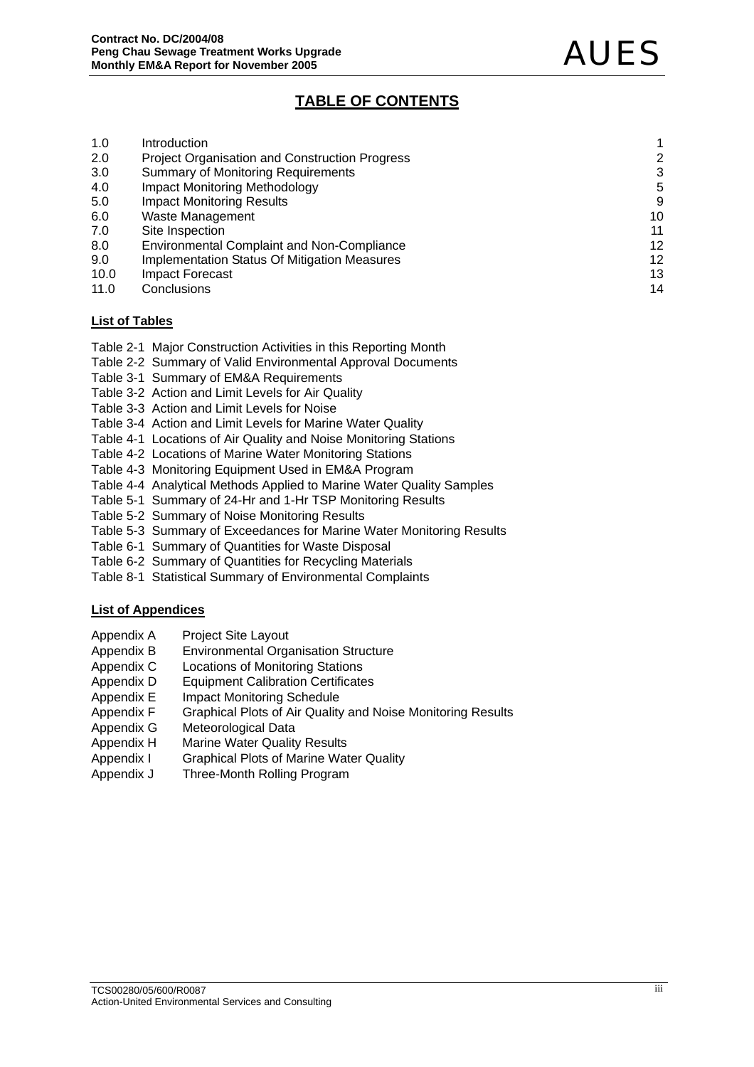# **TABLE OF CONTENTS**

| 1.0  | Introduction                                          | 1  |
|------|-------------------------------------------------------|----|
| 2.0  | <b>Project Organisation and Construction Progress</b> | 2  |
| 3.0  | <b>Summary of Monitoring Requirements</b>             | 3  |
| 4.0  | <b>Impact Monitoring Methodology</b>                  | 5  |
| 5.0  | <b>Impact Monitoring Results</b>                      | 9  |
| 6.0  | Waste Management                                      | 10 |
| 7.0  | Site Inspection                                       | 11 |
| 8.0  | <b>Environmental Complaint and Non-Compliance</b>     | 12 |
| 9.0  | Implementation Status Of Mitigation Measures          | 12 |
| 10.0 | <b>Impact Forecast</b>                                | 13 |
| 11.0 | Conclusions                                           | 14 |

# **List of Tables**

- Table 2-1 Major Construction Activities in this Reporting Month
- Table 2-2 Summary of Valid Environmental Approval Documents
- Table 3-1 Summary of EM&A Requirements
- Table 3-2 Action and Limit Levels for Air Quality
- Table 3-3 Action and Limit Levels for Noise
- Table 3-4 Action and Limit Levels for Marine Water Quality
- Table 4-1 Locations of Air Quality and Noise Monitoring Stations
- Table 4-2 Locations of Marine Water Monitoring Stations
- Table 4-3 Monitoring Equipment Used in EM&A Program
- Table 4-4 Analytical Methods Applied to Marine Water Quality Samples
- Table 5-1 Summary of 24-Hr and 1-Hr TSP Monitoring Results
- Table 5-2 Summary of Noise Monitoring Results
- Table 5-3 Summary of Exceedances for Marine Water Monitoring Results
- Table 6-1 Summary of Quantities for Waste Disposal
- Table 6-2 Summary of Quantities for Recycling Materials
- Table 8-1 Statistical Summary of Environmental Complaints

# **List of Appendices**

- Appendix A Project Site Layout
- Appendix B Environmental Organisation Structure
- Appendix C Locations of Monitoring Stations
- Appendix D Equipment Calibration Certificates
- Appendix E Impact Monitoring Schedule
- Appendix F Graphical Plots of Air Quality and Noise Monitoring Results
- Appendix G Meteorological Data
- Appendix H Marine Water Quality Results
- Appendix I Graphical Plots of Marine Water Quality
- Appendix J Three-Month Rolling Program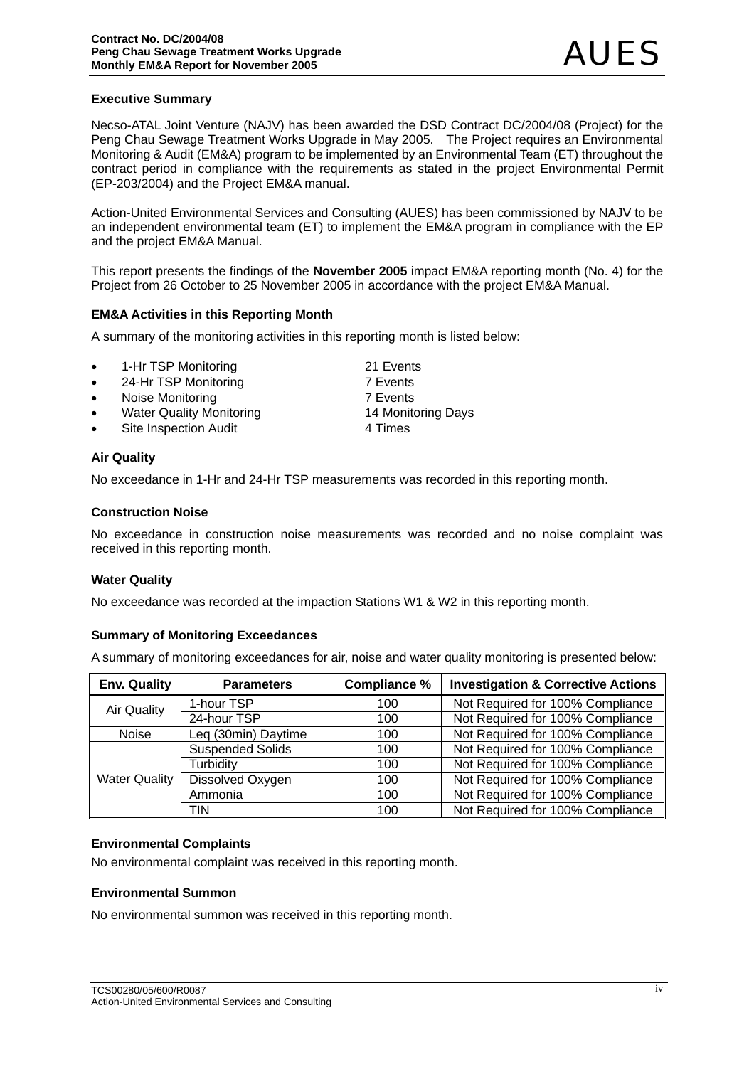# **Executive Summary**

Necso-ATAL Joint Venture (NAJV) has been awarded the DSD Contract DC/2004/08 (Project) for the Peng Chau Sewage Treatment Works Upgrade in May 2005. The Project requires an Environmental Monitoring & Audit (EM&A) program to be implemented by an Environmental Team (ET) throughout the contract period in compliance with the requirements as stated in the project Environmental Permit (EP-203/2004) and the Project EM&A manual.

Action-United Environmental Services and Consulting (AUES) has been commissioned by NAJV to be an independent environmental team (ET) to implement the EM&A program in compliance with the EP and the project EM&A Manual.

This report presents the findings of the **November 2005** impact EM&A reporting month (No. 4) for the Project from 26 October to 25 November 2005 in accordance with the project EM&A Manual.

# **EM&A Activities in this Reporting Month**

A summary of the monitoring activities in this reporting month is listed below:

- 1-Hr TSP Monitoring 21 Events
- 24-Hr TSP Monitoring **7 Events**
- **Value Monitoring 7 Events** 7 Events
- Water Quality Monitoring 14 Monitoring Days
- **Site Inspection Audit** 4 Times
- **Air Quality**

No exceedance in 1-Hr and 24-Hr TSP measurements was recorded in this reporting month.

### **Construction Noise**

No exceedance in construction noise measurements was recorded and no noise complaint was received in this reporting month.

#### **Water Quality**

No exceedance was recorded at the impaction Stations W1 & W2 in this reporting month.

# **Summary of Monitoring Exceedances**

A summary of monitoring exceedances for air, noise and water quality monitoring is presented below:

| <b>Env. Quality</b>  | <b>Parameters</b>       | <b>Compliance %</b> | <b>Investigation &amp; Corrective Actions</b> |
|----------------------|-------------------------|---------------------|-----------------------------------------------|
| <b>Air Quality</b>   | 1-hour TSP              | 100                 | Not Required for 100% Compliance              |
|                      | 24-hour TSP             | 100                 | Not Required for 100% Compliance              |
| Noise                | Leq (30min) Daytime     | 100                 | Not Required for 100% Compliance              |
| <b>Water Quality</b> | <b>Suspended Solids</b> | 100                 | Not Required for 100% Compliance              |
|                      | Turbidity               | 100                 | Not Required for 100% Compliance              |
|                      | Dissolved Oxygen        | 100                 | Not Required for 100% Compliance              |
|                      | Ammonia                 | 100                 | Not Required for 100% Compliance              |
|                      | TIN                     | 100                 | Not Required for 100% Compliance              |

# **Environmental Complaints**

No environmental complaint was received in this reporting month.

#### **Environmental Summon**

No environmental summon was received in this reporting month.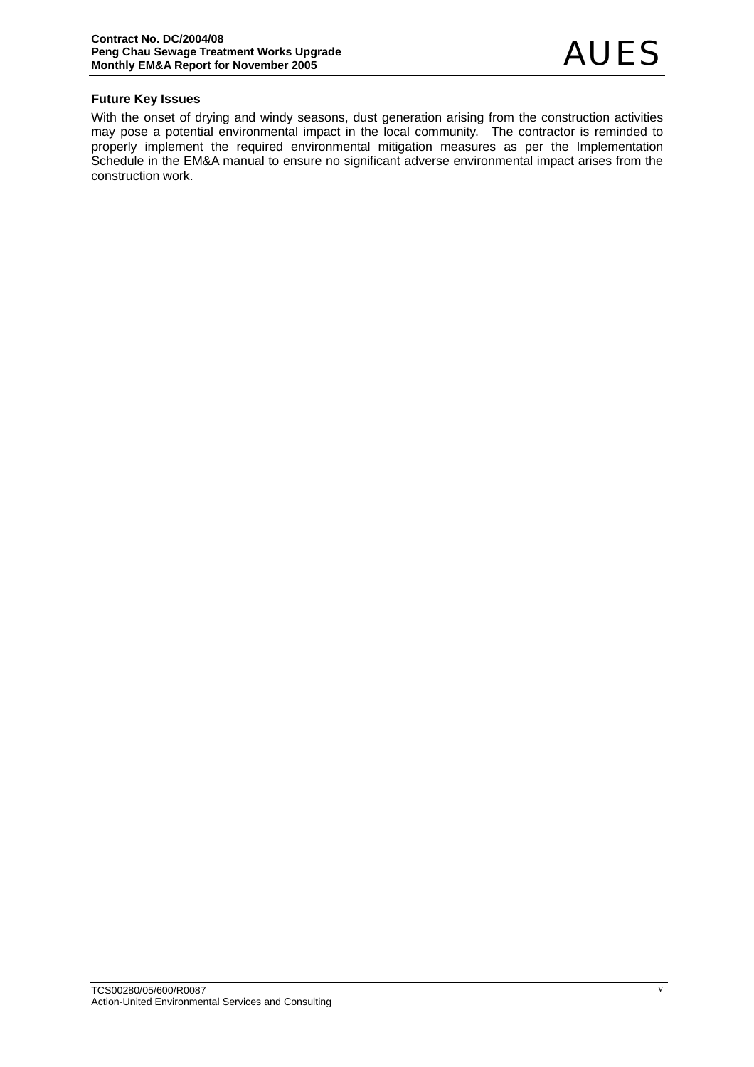# **Future Key Issues**

With the onset of drying and windy seasons, dust generation arising from the construction activities may pose a potential environmental impact in the local community. The contractor is reminded to properly implement the required environmental mitigation measures as per the Implementation Schedule in the EM&A manual to ensure no significant adverse environmental impact arises from the construction work.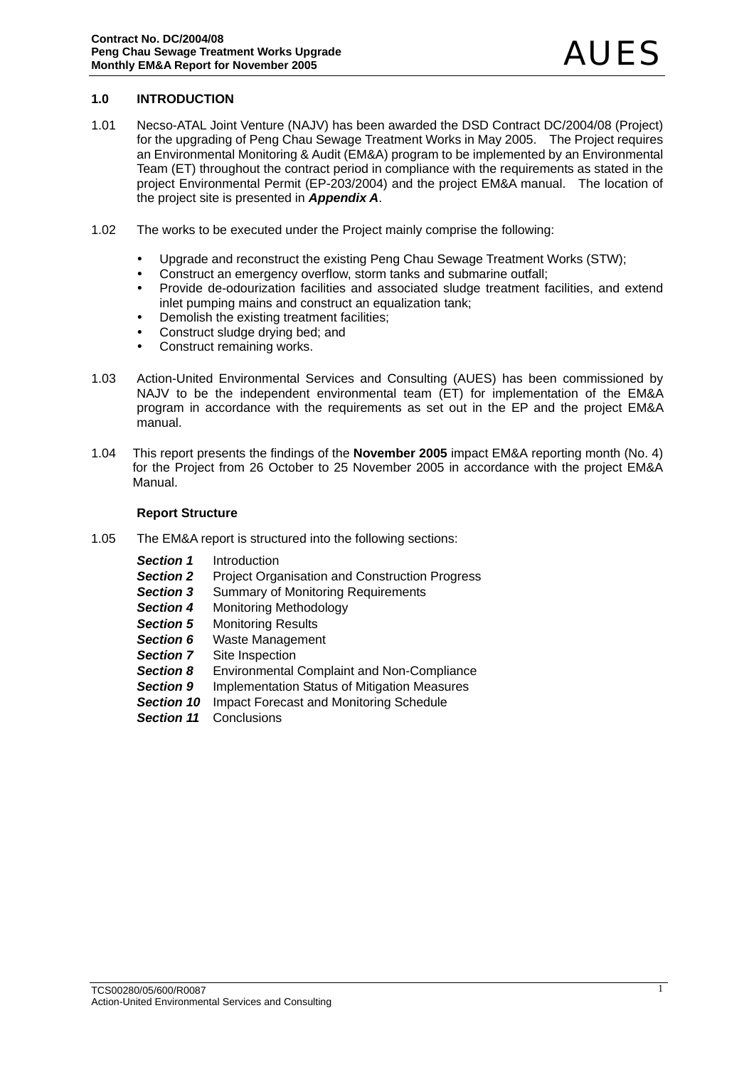### **1.0 INTRODUCTION**

- 1.01 Necso-ATAL Joint Venture (NAJV) has been awarded the DSD Contract DC/2004/08 (Project) for the upgrading of Peng Chau Sewage Treatment Works in May 2005. The Project requires an Environmental Monitoring & Audit (EM&A) program to be implemented by an Environmental Team (ET) throughout the contract period in compliance with the requirements as stated in the project Environmental Permit (EP-203/2004) and the project EM&A manual. The location of the project site is presented in *Appendix A*.
- 1.02 The works to be executed under the Project mainly comprise the following:
	- Upgrade and reconstruct the existing Peng Chau Sewage Treatment Works (STW):
	- Construct an emergency overflow, storm tanks and submarine outfall:
	- Provide de-odourization facilities and associated sludge treatment facilities, and extend inlet pumping mains and construct an equalization tank;
	- Demolish the existing treatment facilities;
	- Construct sludge drying bed; and
	- Construct remaining works.
- 1.03 Action-United Environmental Services and Consulting (AUES) has been commissioned by NAJV to be the independent environmental team (ET) for implementation of the EM&A program in accordance with the requirements as set out in the EP and the project EM&A manual.
- 1.04 This report presents the findings of the **November 2005** impact EM&A reporting month (No. 4) for the Project from 26 October to 25 November 2005 in accordance with the project EM&A Manual.

#### **Report Structure**

- 1.05 The EM&A report is structured into the following sections:
	- *Section 1* Introduction
	- **Section 2** Project Organisation and Construction Progress
	- **Section 3** Summary of Monitoring Requirements
	- *Section 4* Monitoring Methodology
	- **Section 5** Monitoring Results
	- *Section 6* Waste Management
	- **Section 7** Site Inspection
	- *Section 8* Environmental Complaint and Non-Compliance
	- **Section 9** Implementation Status of Mitigation Measures
	- **Section 10** Impact Forecast and Monitoring Schedule
	- *Section 11* Conclusions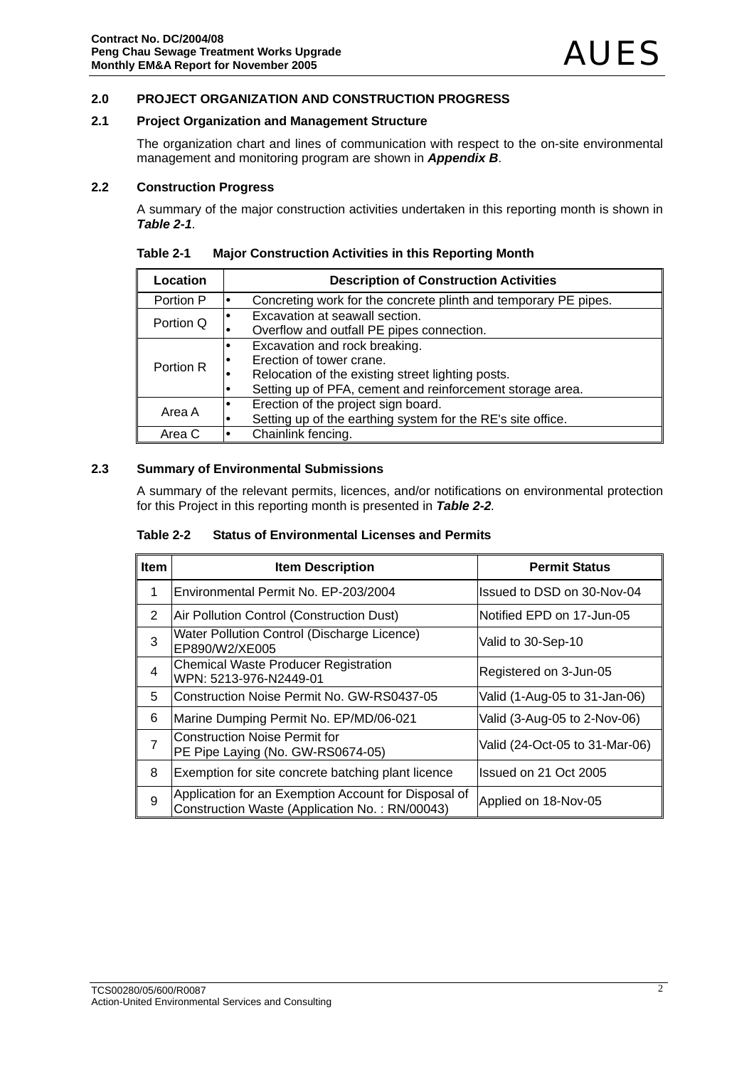# **2.0 PROJECT ORGANIZATION AND CONSTRUCTION PROGRESS**

# **2.1 Project Organization and Management Structure**

The organization chart and lines of communication with respect to the on-site environmental management and monitoring program are shown in *Appendix B*.

#### **2.2 Construction Progress**

A summary of the major construction activities undertaken in this reporting month is shown in *Table 2-1*.

| Table 2-1 | <b>Major Construction Activities in this Reporting Month</b> |
|-----------|--------------------------------------------------------------|
|-----------|--------------------------------------------------------------|

| Location  |    | <b>Description of Construction Activities</b>                   |
|-----------|----|-----------------------------------------------------------------|
| Portion P |    | Concreting work for the concrete plinth and temporary PE pipes. |
| Portion Q |    | Excavation at seawall section.                                  |
|           |    | Overflow and outfall PE pipes connection.                       |
| Portion R |    | Excavation and rock breaking.                                   |
|           |    | Erection of tower crane.                                        |
|           | lo | Relocation of the existing street lighting posts.               |
|           |    | Setting up of PFA, cement and reinforcement storage area.       |
|           |    | Erection of the project sign board.                             |
| Area A    |    | Setting up of the earthing system for the RE's site office.     |
| Area C    |    | Chainlink fencing.                                              |

# **2.3 Summary of Environmental Submissions**

A summary of the relevant permits, licences, and/or notifications on environmental protection for this Project in this reporting month is presented in *Table 2-2.* 

| Table 2-2<br><b>Status of Environmental Licenses and Permits</b> |  |
|------------------------------------------------------------------|--|
|------------------------------------------------------------------|--|

| Item           | <b>Item Description</b>                                                                                | <b>Permit Status</b>           |
|----------------|--------------------------------------------------------------------------------------------------------|--------------------------------|
| 1              | Environmental Permit No. EP-203/2004                                                                   | Issued to DSD on 30-Nov-04     |
| 2              | Air Pollution Control (Construction Dust)                                                              | Notified EPD on 17-Jun-05      |
| 3              | Water Pollution Control (Discharge Licence)<br>EP890/W2/XE005                                          | Valid to 30-Sep-10             |
| 4              | <b>Chemical Waste Producer Registration</b><br>WPN: 5213-976-N2449-01                                  | Registered on 3-Jun-05         |
| 5              | Construction Noise Permit No. GW-RS0437-05                                                             | Valid (1-Aug-05 to 31-Jan-06)  |
| 6              | Marine Dumping Permit No. EP/MD/06-021                                                                 | Valid (3-Aug-05 to 2-Nov-06)   |
| $\overline{7}$ | <b>Construction Noise Permit for</b><br>PE Pipe Laying (No. GW-RS0674-05)                              | Valid (24-Oct-05 to 31-Mar-06) |
| 8              | Exemption for site concrete batching plant licence                                                     | Issued on 21 Oct 2005          |
| 9              | Application for an Exemption Account for Disposal of<br>Construction Waste (Application No.: RN/00043) | Applied on 18-Nov-05           |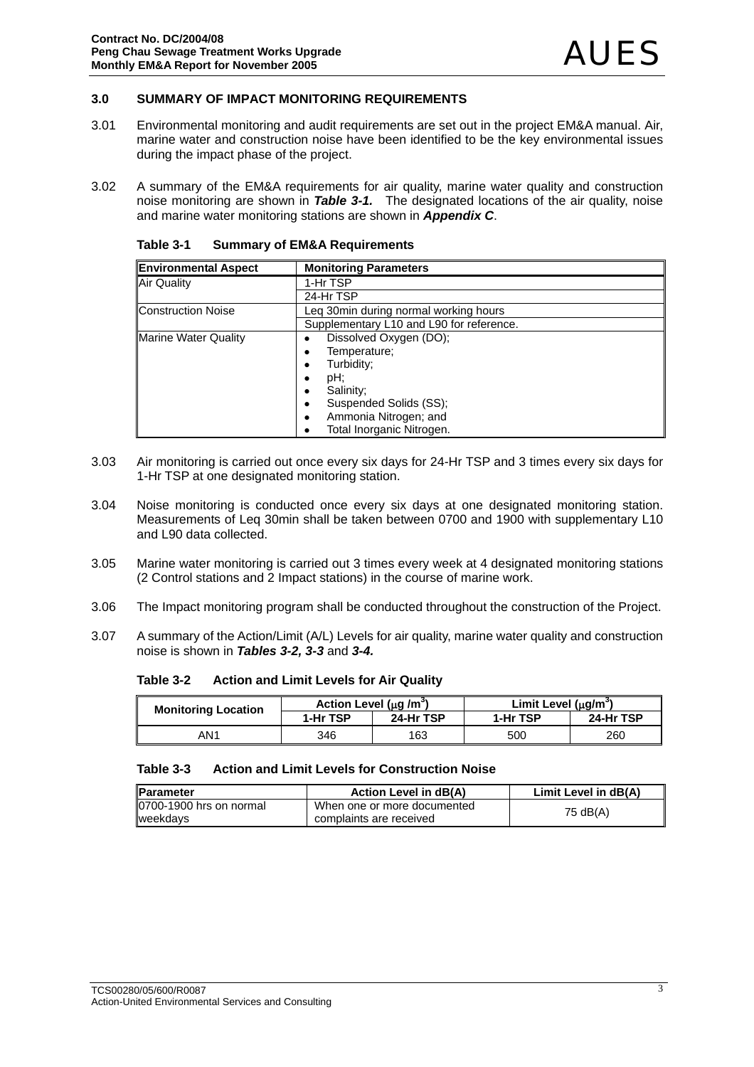# **3.0 SUMMARY OF IMPACT MONITORING REQUIREMENTS**

- 3.01 Environmental monitoring and audit requirements are set out in the project EM&A manual. Air, marine water and construction noise have been identified to be the key environmental issues during the impact phase of the project.
- 3.02 A summary of the EM&A requirements for air quality, marine water quality and construction noise monitoring are shown in *Table 3-1.* The designated locations of the air quality, noise and marine water monitoring stations are shown in *Appendix C*.

| <b>Environmental Aspect</b> | <b>Monitoring Parameters</b>             |
|-----------------------------|------------------------------------------|
| Air Quality                 | 1-Hr TSP                                 |
|                             | 24-Hr TSP                                |
| <b>Construction Noise</b>   | Leg 30 min during normal working hours   |
|                             | Supplementary L10 and L90 for reference. |
| <b>Marine Water Quality</b> | Dissolved Oxygen (DO);                   |
|                             | Temperature;                             |
|                             | Turbidity;                               |
|                             | pH;                                      |
|                             | Salinity;                                |
|                             | Suspended Solids (SS);                   |
|                             | Ammonia Nitrogen; and                    |
|                             | Total Inorganic Nitrogen.                |

**Table 3-1 Summary of EM&A Requirements** 

- 3.03 Air monitoring is carried out once every six days for 24-Hr TSP and 3 times every six days for 1-Hr TSP at one designated monitoring station.
- 3.04 Noise monitoring is conducted once every six days at one designated monitoring station. Measurements of Leq 30min shall be taken between 0700 and 1900 with supplementary L10 and L90 data collected.
- 3.05 Marine water monitoring is carried out 3 times every week at 4 designated monitoring stations (2 Control stations and 2 Impact stations) in the course of marine work.
- 3.06 The Impact monitoring program shall be conducted throughout the construction of the Project.
- 3.07 A summary of the Action/Limit (A/L) Levels for air quality, marine water quality and construction noise is shown in *Tables 3-2, 3-3* and *3-4.*

**Table 3-2 Action and Limit Levels for Air Quality** 

| <b>Monitoring Location</b> |          | Action Level ( $\mu$ g /m <sup>3</sup> ) | Limit Level $(\mu q/m^3)$ |           |
|----------------------------|----------|------------------------------------------|---------------------------|-----------|
|                            | 1-Hr TSP | 24-Hr TSP                                | 1-Hr TSP                  | 24-Hr TSP |
| AN1                        | 346      | 163                                      | 500                       | 260       |

### **Table 3-3 Action and Limit Levels for Construction Noise**

| <b>IParameter</b>                            | Action Level in dB(A)                                  | Limit Level in dB(A) |
|----------------------------------------------|--------------------------------------------------------|----------------------|
| 0700-1900 hrs on normal<br><b>I</b> weekdavs | When one or more documented<br>complaints are received | 75 dB(A)             |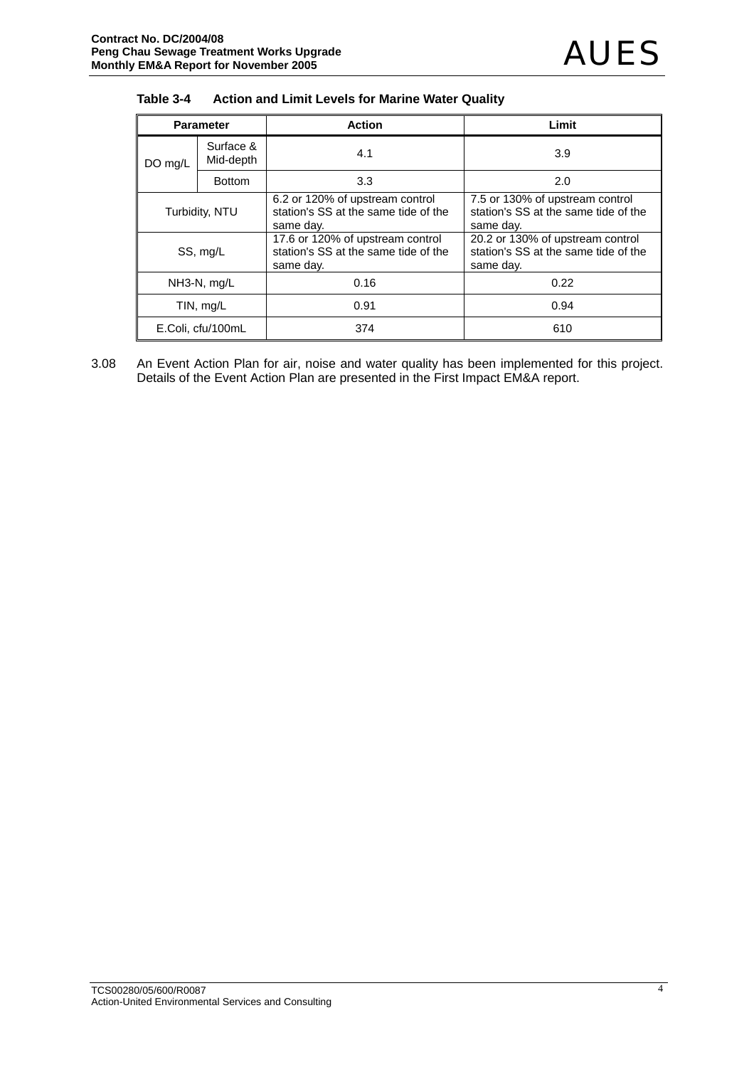| Table 3-4 | <b>Action and Limit Levels for Marine Water Quality</b> |
|-----------|---------------------------------------------------------|
|-----------|---------------------------------------------------------|

| <b>Parameter</b> |                        | <b>Action</b>                                                                         | Limit                                                                                 |  |  |
|------------------|------------------------|---------------------------------------------------------------------------------------|---------------------------------------------------------------------------------------|--|--|
| DO mg/L          | Surface &<br>Mid-depth | 4.1                                                                                   | 3.9                                                                                   |  |  |
|                  | <b>Bottom</b>          | 3.3                                                                                   | 2.0                                                                                   |  |  |
| Turbidity, NTU   |                        | 6.2 or 120% of upstream control<br>station's SS at the same tide of the<br>same day.  | 7.5 or 130% of upstream control<br>station's SS at the same tide of the<br>same day.  |  |  |
| SS, mg/L         |                        | 17.6 or 120% of upstream control<br>station's SS at the same tide of the<br>same day. | 20.2 or 130% of upstream control<br>station's SS at the same tide of the<br>same day. |  |  |
| $NH3-N$ , $mq/L$ |                        | 0.16                                                                                  | 0.22                                                                                  |  |  |
| TIN, mg/L        |                        | 0.91                                                                                  | 0.94                                                                                  |  |  |
|                  | E.Coli, cfu/100mL      | 374                                                                                   | 610                                                                                   |  |  |

3.08 An Event Action Plan for air, noise and water quality has been implemented for this project. Details of the Event Action Plan are presented in the First Impact EM&A report.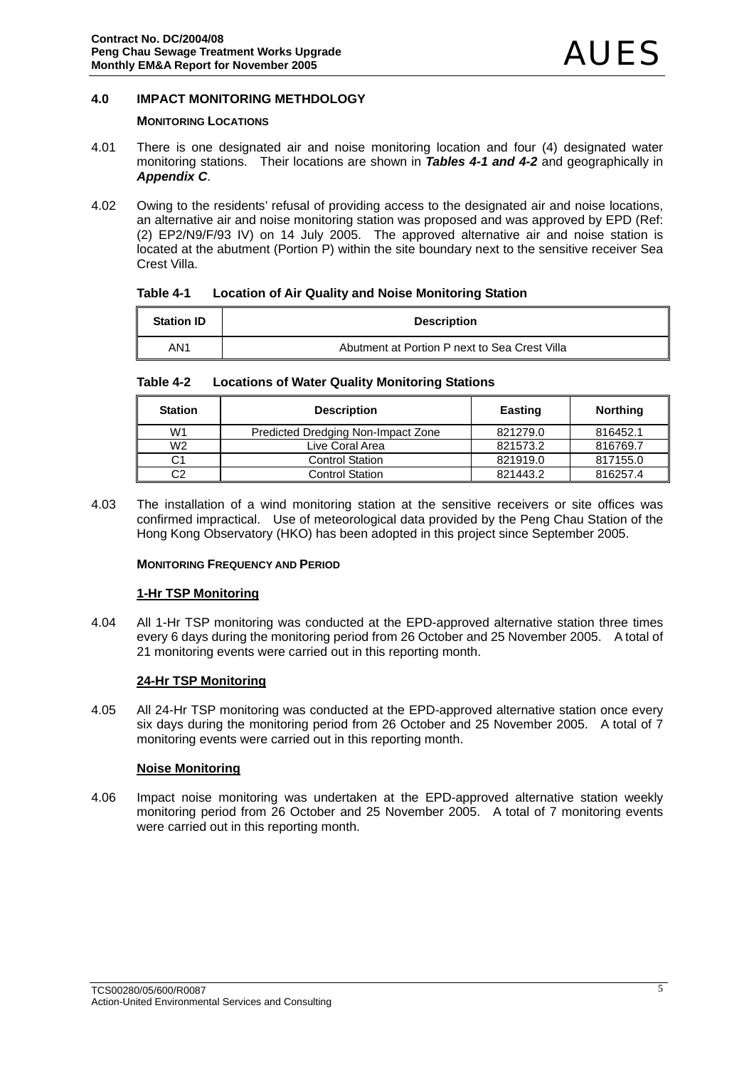# **4.0 IMPACT MONITORING METHDOLOGY**

### **MONITORING LOCATIONS**

- 4.01 There is one designated air and noise monitoring location and four (4) designated water monitoring stations. Their locations are shown in *Tables 4-1 and 4-2* and geographically in *Appendix C*.
- 4.02 Owing to the residents' refusal of providing access to the designated air and noise locations, an alternative air and noise monitoring station was proposed and was approved by EPD (Ref: (2) EP2/N9/F/93 IV) on 14 July 2005. The approved alternative air and noise station is located at the abutment (Portion P) within the site boundary next to the sensitive receiver Sea Crest Villa.

| Table 4-1 | <b>Location of Air Quality and Noise Monitoring Station</b> |
|-----------|-------------------------------------------------------------|
|           |                                                             |

| <b>Station ID</b> | <b>Description</b>                            |
|-------------------|-----------------------------------------------|
| AN1               | Abutment at Portion P next to Sea Crest Villa |

| Table 4-2<br><b>Locations of Water Quality Monitoring Stations</b> |
|--------------------------------------------------------------------|
|--------------------------------------------------------------------|

| <b>Station</b> | <b>Description</b>                 | Easting  | <b>Northing</b> |
|----------------|------------------------------------|----------|-----------------|
| W1             | Predicted Dredging Non-Impact Zone | 821279.0 | 816452.1        |
| W <sub>2</sub> | Live Coral Area                    | 821573.2 | 816769.7        |
| C1             | <b>Control Station</b>             | 821919.0 | 817155.0        |
| C2             | Control Station                    | 821443.2 | 816257.4        |

4.03 The installation of a wind monitoring station at the sensitive receivers or site offices was confirmed impractical. Use of meteorological data provided by the Peng Chau Station of the Hong Kong Observatory (HKO) has been adopted in this project since September 2005.

#### **MONITORING FREQUENCY AND PERIOD**

#### **1-Hr TSP Monitoring**

4.04 All 1-Hr TSP monitoring was conducted at the EPD-approved alternative station three times every 6 days during the monitoring period from 26 October and 25 November 2005. A total of 21 monitoring events were carried out in this reporting month.

# **24-Hr TSP Monitoring**

4.05 All 24-Hr TSP monitoring was conducted at the EPD-approved alternative station once every six days during the monitoring period from 26 October and 25 November 2005. A total of 7 monitoring events were carried out in this reporting month.

#### **Noise Monitoring**

4.06 Impact noise monitoring was undertaken at the EPD-approved alternative station weekly monitoring period from 26 October and 25 November 2005. A total of 7 monitoring events were carried out in this reporting month.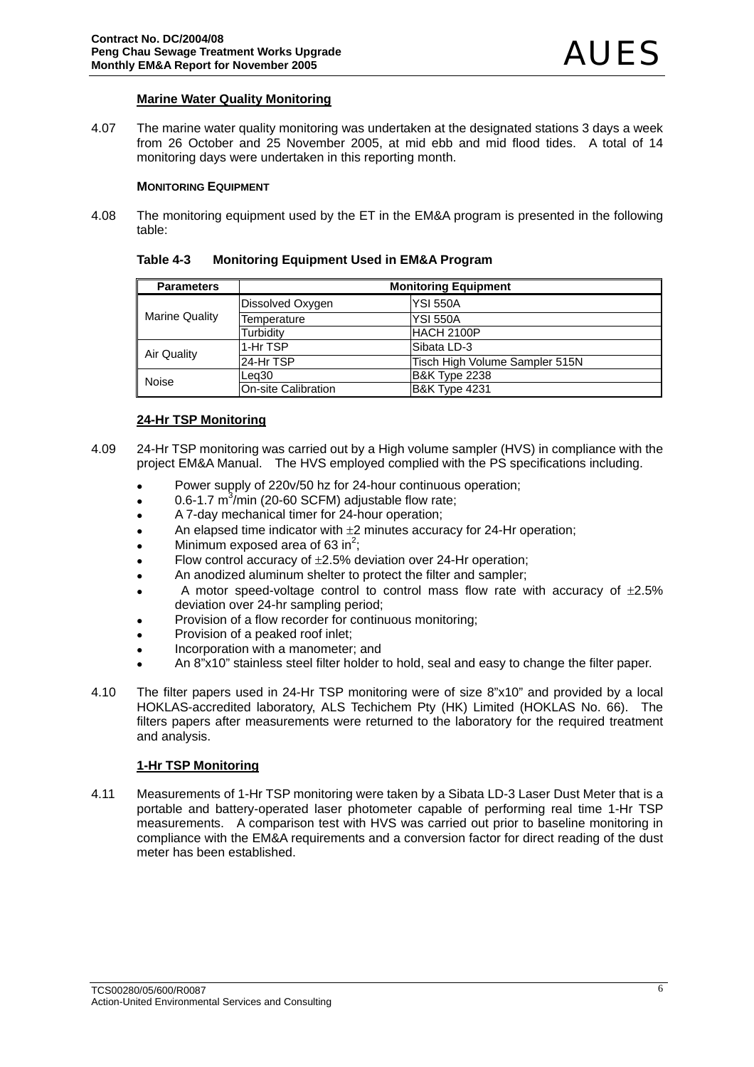### **Marine Water Quality Monitoring**

4.07 The marine water quality monitoring was undertaken at the designated stations 3 days a week from 26 October and 25 November 2005, at mid ebb and mid flood tides. A total of 14 monitoring days were undertaken in this reporting month.

### **MONITORING EQUIPMENT**

4.08 The monitoring equipment used by the ET in the EM&A program is presented in the following table:

| Table 4-3 | <b>Monitoring Equipment Used in EM&amp;A Program</b> |
|-----------|------------------------------------------------------|
|-----------|------------------------------------------------------|

| <b>Parameters</b>     | <b>Monitoring Equipment</b> |                                |  |  |  |  |  |  |
|-----------------------|-----------------------------|--------------------------------|--|--|--|--|--|--|
|                       | Dissolved Oxygen            | <b>YSI 550A</b>                |  |  |  |  |  |  |
| <b>Marine Quality</b> | Temperature                 | <b>YSI 550A</b>                |  |  |  |  |  |  |
|                       | Turbidity                   | IHACH 2100P                    |  |  |  |  |  |  |
| Air Quality           | 1-Hr TSP                    | Sibata LD-3                    |  |  |  |  |  |  |
|                       | l24-Hr TSP                  | Tisch High Volume Sampler 515N |  |  |  |  |  |  |
| Noise                 | Lea30                       | <b>B&amp;K Type 2238</b>       |  |  |  |  |  |  |
|                       | On-site Calibration         | <b>B&amp;K Type 4231</b>       |  |  |  |  |  |  |

# **24-Hr TSP Monitoring**

- 4.09 24-Hr TSP monitoring was carried out by a High volume sampler (HVS) in compliance with the project EM&A Manual. The HVS employed complied with the PS specifications including.
	- Power supply of 220v/50 hz for 24-hour continuous operation;
	- $\bullet$  0.6-1.7 m<sup>3</sup>/min (20-60 SCFM) adjustable flow rate;
	- A 7-day mechanical timer for 24-hour operation;
	- An elapsed time indicator with  $\pm 2$  minutes accuracy for 24-Hr operation;
	- Minimum exposed area of 63 in<sup>2</sup>;
	- Flow control accuracy of  $\pm 2.5$ % deviation over 24-Hr operation;
	- An anodized aluminum shelter to protect the filter and sampler;
	- A motor speed-voltage control to control mass flow rate with accuracy of  $\pm 2.5\%$ deviation over 24-hr sampling period;
	- Provision of a flow recorder for continuous monitoring:
	- Provision of a peaked roof inlet:
	- Incorporation with a manometer; and
	- An 8"x10" stainless steel filter holder to hold, seal and easy to change the filter paper.
- 4.10 The filter papers used in 24-Hr TSP monitoring were of size 8"x10" and provided by a local HOKLAS-accredited laboratory, ALS Techichem Pty (HK) Limited (HOKLAS No. 66). The filters papers after measurements were returned to the laboratory for the required treatment and analysis.

# **1-Hr TSP Monitoring**

4.11 Measurements of 1-Hr TSP monitoring were taken by a Sibata LD-3 Laser Dust Meter that is a portable and battery-operated laser photometer capable of performing real time 1-Hr TSP measurements. A comparison test with HVS was carried out prior to baseline monitoring in compliance with the EM&A requirements and a conversion factor for direct reading of the dust meter has been established.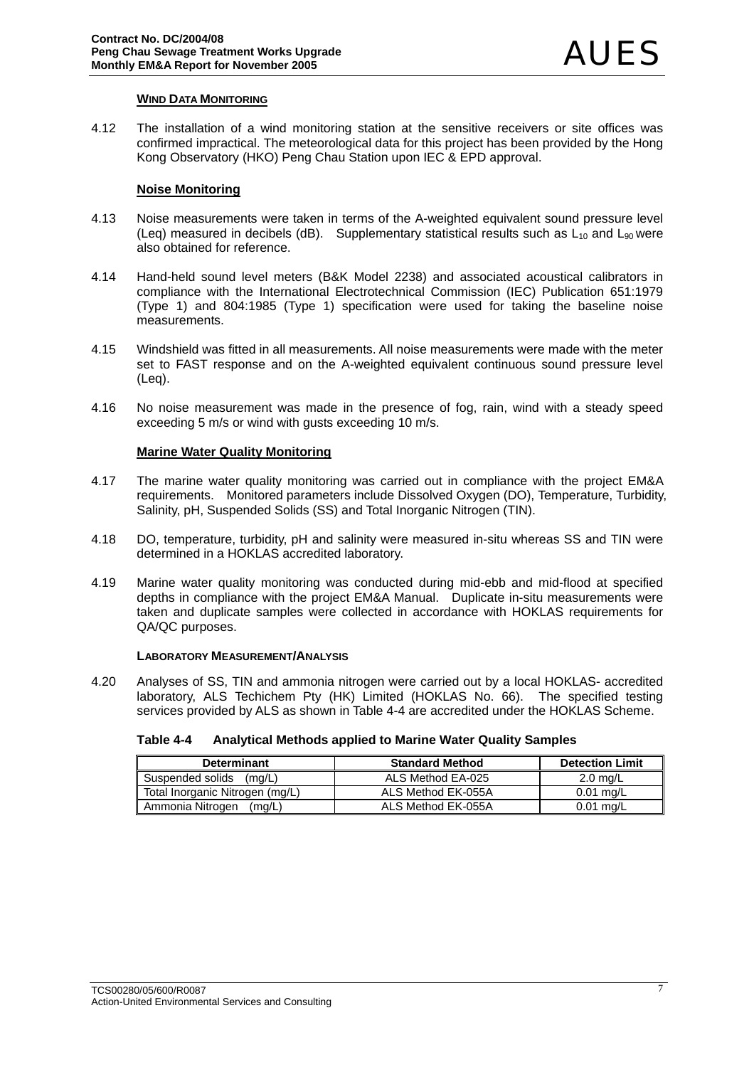# **WIND DATA MONITORING**

4.12 The installation of a wind monitoring station at the sensitive receivers or site offices was confirmed impractical. The meteorological data for this project has been provided by the Hong Kong Observatory (HKO) Peng Chau Station upon IEC & EPD approval.

### **Noise Monitoring**

- 4.13 Noise measurements were taken in terms of the A-weighted equivalent sound pressure level (Leq) measured in decibels (dB). Supplementary statistical results such as  $L_{10}$  and  $L_{90}$  were also obtained for reference.
- 4.14 Hand-held sound level meters (B&K Model 2238) and associated acoustical calibrators in compliance with the International Electrotechnical Commission (IEC) Publication 651:1979 (Type 1) and 804:1985 (Type 1) specification were used for taking the baseline noise measurements.
- 4.15 Windshield was fitted in all measurements. All noise measurements were made with the meter set to FAST response and on the A-weighted equivalent continuous sound pressure level (Leq).
- 4.16 No noise measurement was made in the presence of fog, rain, wind with a steady speed exceeding 5 m/s or wind with gusts exceeding 10 m/s.

### **Marine Water Quality Monitoring**

- 4.17 The marine water quality monitoring was carried out in compliance with the project EM&A requirements. Monitored parameters include Dissolved Oxygen (DO), Temperature, Turbidity, Salinity, pH, Suspended Solids (SS) and Total Inorganic Nitrogen (TIN).
- 4.18 DO, temperature, turbidity, pH and salinity were measured in-situ whereas SS and TIN were determined in a HOKLAS accredited laboratory.
- 4.19 Marine water quality monitoring was conducted during mid-ebb and mid-flood at specified depths in compliance with the project EM&A Manual. Duplicate in-situ measurements were taken and duplicate samples were collected in accordance with HOKLAS requirements for QA/QC purposes.

#### **LABORATORY MEASUREMENT/ANALYSIS**

4.20 Analyses of SS, TIN and ammonia nitrogen were carried out by a local HOKLAS- accredited laboratory, ALS Techichem Pty (HK) Limited (HOKLAS No. 66). The specified testing services provided by ALS as shown in Table 4-4 are accredited under the HOKLAS Scheme.

#### **Table 4-4 Analytical Methods applied to Marine Water Quality Samples**

| <b>Determinant</b>              | <b>Standard Method</b> | <b>Detection Limit</b> |
|---------------------------------|------------------------|------------------------|
| Suspended solids<br>(ma/L)      | ALS Method EA-025      | $2.0 \text{ mg/L}$     |
| Total Inorganic Nitrogen (mg/L) | ALS Method EK-055A     | $0.01$ ma/L            |
| Ammonia Nitrogen<br>(mg/L)      | ALS Method EK-055A     | $0.01$ mg/L            |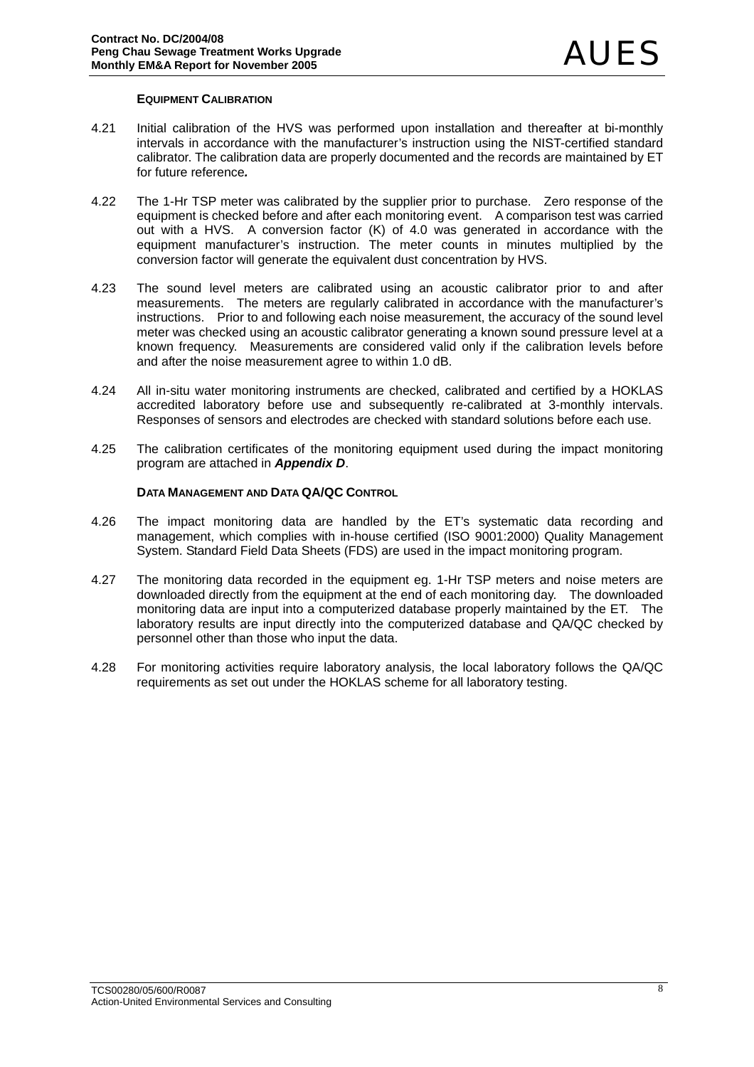### **EQUIPMENT CALIBRATION**

- 4.21 Initial calibration of the HVS was performed upon installation and thereafter at bi-monthly intervals in accordance with the manufacturer's instruction using the NIST-certified standard calibrator. The calibration data are properly documented and the records are maintained by ET for future reference*.*
- 4.22 The 1-Hr TSP meter was calibrated by the supplier prior to purchase. Zero response of the equipment is checked before and after each monitoring event. A comparison test was carried out with a HVS. A conversion factor (K) of 4.0 was generated in accordance with the equipment manufacturer's instruction. The meter counts in minutes multiplied by the conversion factor will generate the equivalent dust concentration by HVS.
- 4.23 The sound level meters are calibrated using an acoustic calibrator prior to and after measurements. The meters are regularly calibrated in accordance with the manufacturer's instructions. Prior to and following each noise measurement, the accuracy of the sound level meter was checked using an acoustic calibrator generating a known sound pressure level at a known frequency. Measurements are considered valid only if the calibration levels before and after the noise measurement agree to within 1.0 dB.
- 4.24 All in-situ water monitoring instruments are checked, calibrated and certified by a HOKLAS accredited laboratory before use and subsequently re-calibrated at 3-monthly intervals. Responses of sensors and electrodes are checked with standard solutions before each use.
- 4.25 The calibration certificates of the monitoring equipment used during the impact monitoring program are attached in *Appendix D*.

### **DATA MANAGEMENT AND DATA QA/QC CONTROL**

- 4.26 The impact monitoring data are handled by the ET's systematic data recording and management, which complies with in-house certified (ISO 9001:2000) Quality Management System. Standard Field Data Sheets (FDS) are used in the impact monitoring program.
- 4.27 The monitoring data recorded in the equipment eg. 1-Hr TSP meters and noise meters are downloaded directly from the equipment at the end of each monitoring day. The downloaded monitoring data are input into a computerized database properly maintained by the ET. The laboratory results are input directly into the computerized database and QA/QC checked by personnel other than those who input the data.
- 4.28 For monitoring activities require laboratory analysis, the local laboratory follows the QA/QC requirements as set out under the HOKLAS scheme for all laboratory testing.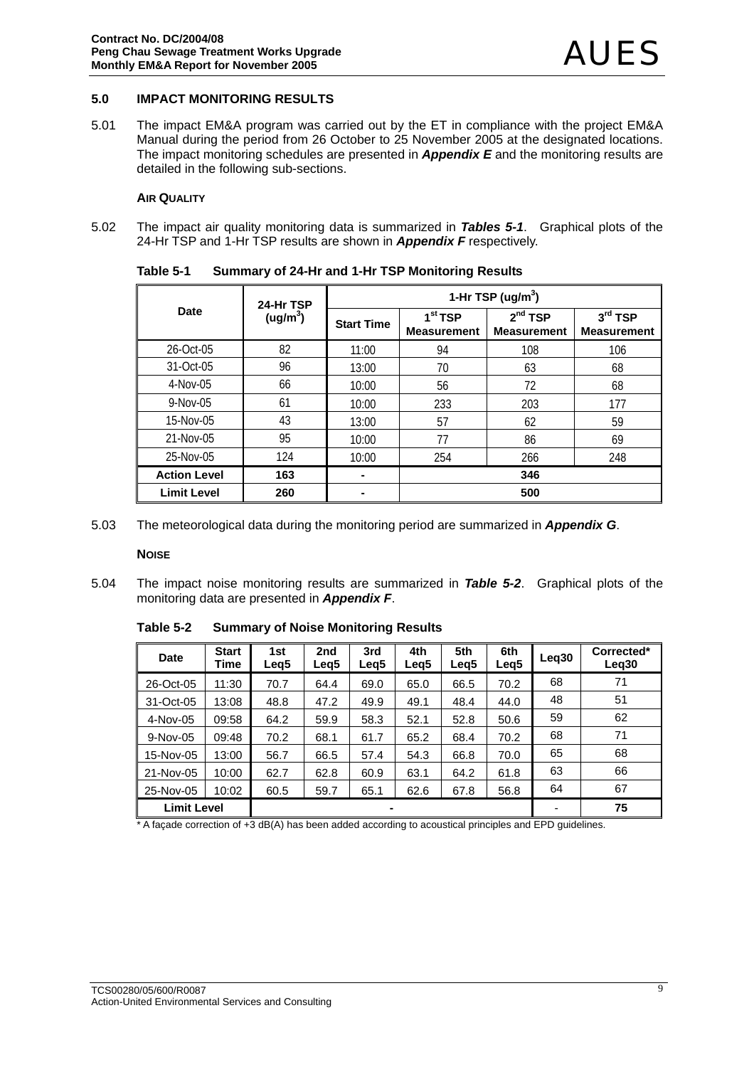### **5.0 IMPACT MONITORING RESULTS**

5.01 The impact EM&A program was carried out by the ET in compliance with the project EM&A Manual during the period from 26 October to 25 November 2005 at the designated locations. The impact monitoring schedules are presented in *Appendix E* and the monitoring results are detailed in the following sub-sections.

#### **AIR QUALITY**

5.02 The impact air quality monitoring data is summarized in *Tables 5-1*. Graphical plots of the 24-Hr TSP and 1-Hr TSP results are shown in *Appendix F* respectively.

|                     | 24-Hr TSP            | 1-Hr TSP (ug/m <sup>3</sup> ) |                                           |                                           |                                           |  |  |  |  |
|---------------------|----------------------|-------------------------------|-------------------------------------------|-------------------------------------------|-------------------------------------------|--|--|--|--|
| Date                | (ug/m <sup>3</sup> ) | <b>Start Time</b>             | 1 <sup>st</sup> TSP<br><b>Measurement</b> | 2 <sup>nd</sup> TSP<br><b>Measurement</b> | 3 <sup>rd</sup> TSP<br><b>Measurement</b> |  |  |  |  |
| 26-Oct-05           | 82                   | 11:00                         | 94                                        | 108                                       | 106                                       |  |  |  |  |
| 31-Oct-05           | 96                   | 13:00                         | 70                                        | 63                                        | 68                                        |  |  |  |  |
| $4-Nov-05$          | 66                   | 10:00                         | 56                                        | 72                                        | 68                                        |  |  |  |  |
| 9-Nov-05            | 61                   | 10:00                         | 233                                       | 203                                       | 177                                       |  |  |  |  |
| 15-Nov-05           | 43                   | 13:00                         | 57                                        | 62                                        | 59                                        |  |  |  |  |
| 21-Nov-05           | 95                   | 10:00                         | 77                                        | 86                                        | 69                                        |  |  |  |  |
| 25-Nov-05           | 124                  | 10:00                         | 254                                       | 266                                       | 248                                       |  |  |  |  |
| <b>Action Level</b> | 163                  | -                             | 346                                       |                                           |                                           |  |  |  |  |
| <b>Limit Level</b>  | 260                  |                               | 500                                       |                                           |                                           |  |  |  |  |

**Table 5-1 Summary of 24-Hr and 1-Hr TSP Monitoring Results** 

5.03 The meteorological data during the monitoring period are summarized in *Appendix G*.

#### **NOISE**

5.04 The impact noise monitoring results are summarized in *Table 5-2*. Graphical plots of the monitoring data are presented in *Appendix F*.

**Table 5-2 Summary of Noise Monitoring Results** 

| <b>Date</b>        | <b>Start</b><br>Time | 1st<br>Leg5 | 2nd<br>Leg <sub>5</sub> | 3rd<br>Leq5    | 4th<br>Leg5 | 5th<br>Leg5 | 6th<br>Leg5 | Leg <sub>30</sub> | Corrected*<br>Leg <sub>30</sub> |
|--------------------|----------------------|-------------|-------------------------|----------------|-------------|-------------|-------------|-------------------|---------------------------------|
| 26-Oct-05          | 11:30                | 70.7        | 64.4                    | 69.0           | 65.0        | 66.5        | 70.2        | 68                | 71                              |
| 31-Oct-05          | 13:08                | 48.8        | 47.2                    | 49.9           | 49.1        | 48.4        | 44.0        | 48                | 51                              |
| 4-Nov-05           | 09:58                | 64.2        | 59.9                    | 58.3           | 52.1        | 52.8        | 50.6        | 59                | 62                              |
| 9-Nov-05           | 09:48                | 70.2        | 68.1                    | 61.7           | 65.2        | 68.4        | 70.2        | 68                | 71                              |
| 15-Nov-05          | 13:00                | 56.7        | 66.5                    | 57.4           | 54.3        | 66.8        | 70.0        | 65                | 68                              |
| 21-Nov-05          | 10:00                | 62.7        | 62.8                    | 60.9           | 63.1        | 64.2        | 61.8        | 63                | 66                              |
| 25-Nov-05          | 10:02                | 60.5        | 59.7                    | 65.1           | 62.6        | 67.8        | 56.8        | 64                | 67                              |
| <b>Limit Level</b> |                      |             |                         | $\blacksquare$ |             |             |             |                   | 75                              |

A façade correction of +3 dB(A) has been added according to acoustical principles and EPD guidelines.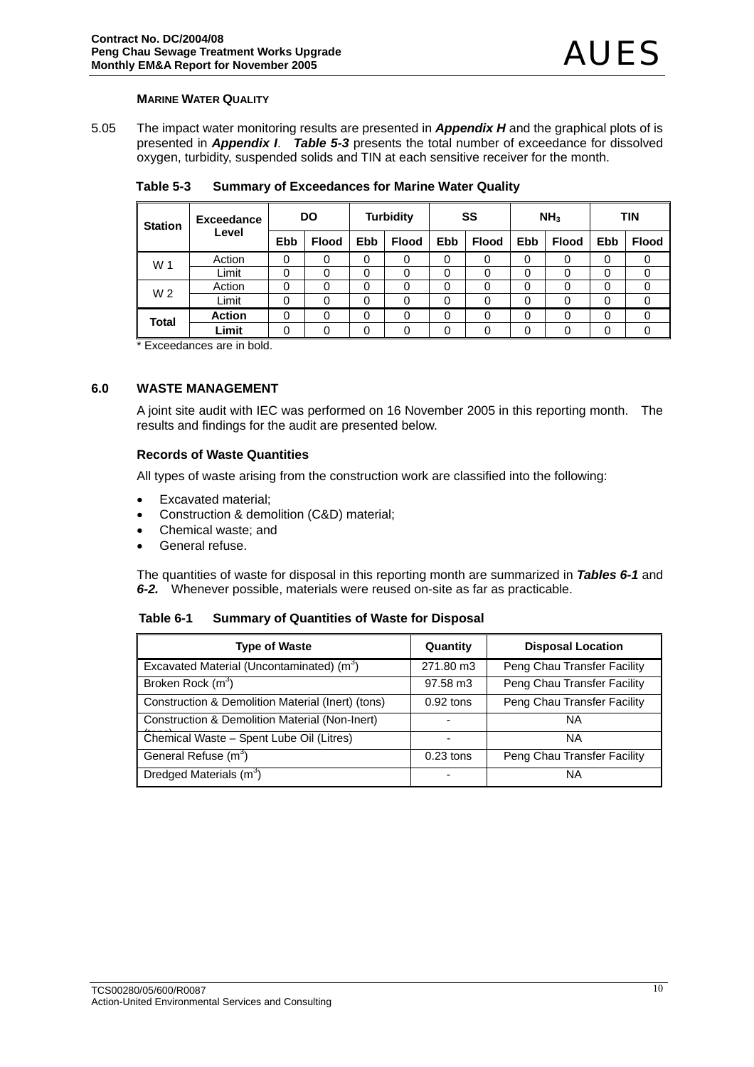### **MARINE WATER QUALITY**

5.05 The impact water monitoring results are presented in *Appendix H* and the graphical plots of is presented in *Appendix I*. *Table 5-3* presents the total number of exceedance for dissolved oxygen, turbidity, suspended solids and TIN at each sensitive receiver for the month.

| <b>Station</b> | <b>Exceedance</b><br>Level | DO         |              | <b>Turbidity</b> |              | SS         |              | NH <sub>3</sub> |              | <b>TIN</b> |              |
|----------------|----------------------------|------------|--------------|------------------|--------------|------------|--------------|-----------------|--------------|------------|--------------|
|                |                            | <b>Ebb</b> | <b>Flood</b> | <b>Ebb</b>       | <b>Flood</b> | <b>Ebb</b> | <b>Flood</b> | Ebb             | <b>Flood</b> | <b>Ebb</b> | <b>Flood</b> |
| W 1            | Action                     | 0          | 0            | 0                | 0            | 0          | 0            | 0               | 0            | 0          | 0            |
|                | Limit                      | 0          | 0            | 0                |              | 0          |              | 0               | 0            | 0          |              |
| W <sub>2</sub> | Action                     | 0          | 0            | 0                | 0            | 0          |              | 0               | 0            | 0          |              |
|                | Limit                      | 0          | 0            | 0                | 0            | 0          | 0            | 0               | 0            | 0          | 0            |
| Total          | <b>Action</b>              | 0          | 0            | 0                | 0            | $\Omega$   | 0            | 0               | 0            | 0          |              |
|                | Limit                      | 0          | 0            | 0                | 0            | 0          |              | 0               | 0            | 0          |              |

**Table 5-3 Summary of Exceedances for Marine Water Quality** 

\* Exceedances are in bold.

### **6.0 WASTE MANAGEMENT**

A joint site audit with IEC was performed on 16 November 2005 in this reporting month. The results and findings for the audit are presented below.

#### **Records of Waste Quantities**

All types of waste arising from the construction work are classified into the following:

- Excavated material;
- Construction & demolition (C&D) material;
- Chemical waste; and
- General refuse.

The quantities of waste for disposal in this reporting month are summarized in *Tables 6-1* and *6-2.* Whenever possible, materials were reused on-site as far as practicable.

| <b>Summary of Quantities of Waste for Disposal</b><br>Table 6-1 |  |
|-----------------------------------------------------------------|--|
|-----------------------------------------------------------------|--|

| <b>Type of Waste</b>                                      | Quantity    | <b>Disposal Location</b>    |
|-----------------------------------------------------------|-------------|-----------------------------|
| Excavated Material (Uncontaminated) (m <sup>3</sup> )     | 271.80 m3   | Peng Chau Transfer Facility |
| Broken Rock (m <sup>3</sup> )                             | 97.58 m3    | Peng Chau Transfer Facility |
| Construction & Demolition Material (Inert) (tons)         | $0.92$ tons | Peng Chau Transfer Facility |
| <b>Construction &amp; Demolition Material (Non-Inert)</b> |             | <b>NA</b>                   |
| Chemical Waste - Spent Lube Oil (Litres)                  | ۰           | <b>NA</b>                   |
| General Refuse (m <sup>3</sup> )                          | $0.23$ tons | Peng Chau Transfer Facility |
| Dredged Materials (m <sup>3</sup> )                       | -           | <b>NA</b>                   |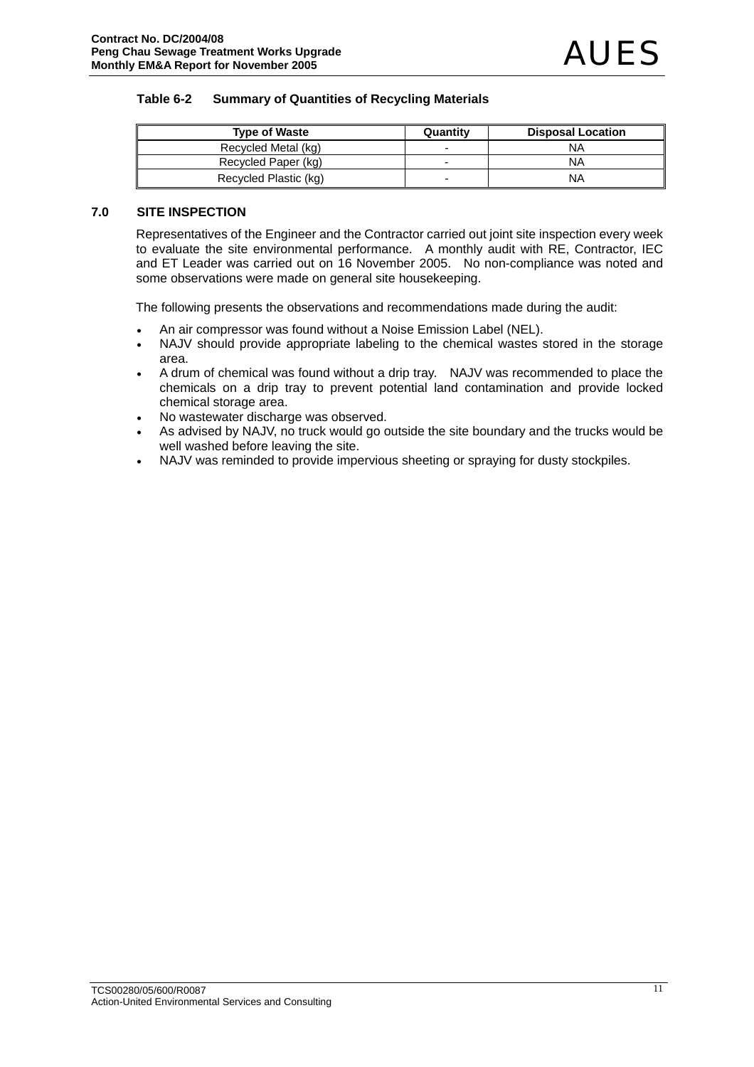# **Table 6-2 Summary of Quantities of Recycling Materials**

| <b>Type of Waste</b>  | Quantity                 | <b>Disposal Location</b> |
|-----------------------|--------------------------|--------------------------|
| Recycled Metal (kg)   |                          | NA                       |
| Recycled Paper (kg)   | $\overline{\phantom{0}}$ | NA                       |
| Recycled Plastic (kg) |                          | NA                       |

# **7.0 SITE INSPECTION**

Representatives of the Engineer and the Contractor carried out joint site inspection every week to evaluate the site environmental performance. A monthly audit with RE, Contractor, IEC and ET Leader was carried out on 16 November 2005. No non-compliance was noted and some observations were made on general site housekeeping.

The following presents the observations and recommendations made during the audit:

- An air compressor was found without a Noise Emission Label (NEL).
- NAJV should provide appropriate labeling to the chemical wastes stored in the storage area.
- A drum of chemical was found without a drip tray. NAJV was recommended to place the chemicals on a drip tray to prevent potential land contamination and provide locked chemical storage area.
- No wastewater discharge was observed.
- As advised by NAJV, no truck would go outside the site boundary and the trucks would be well washed before leaving the site.
- NAJV was reminded to provide impervious sheeting or spraying for dusty stockpiles.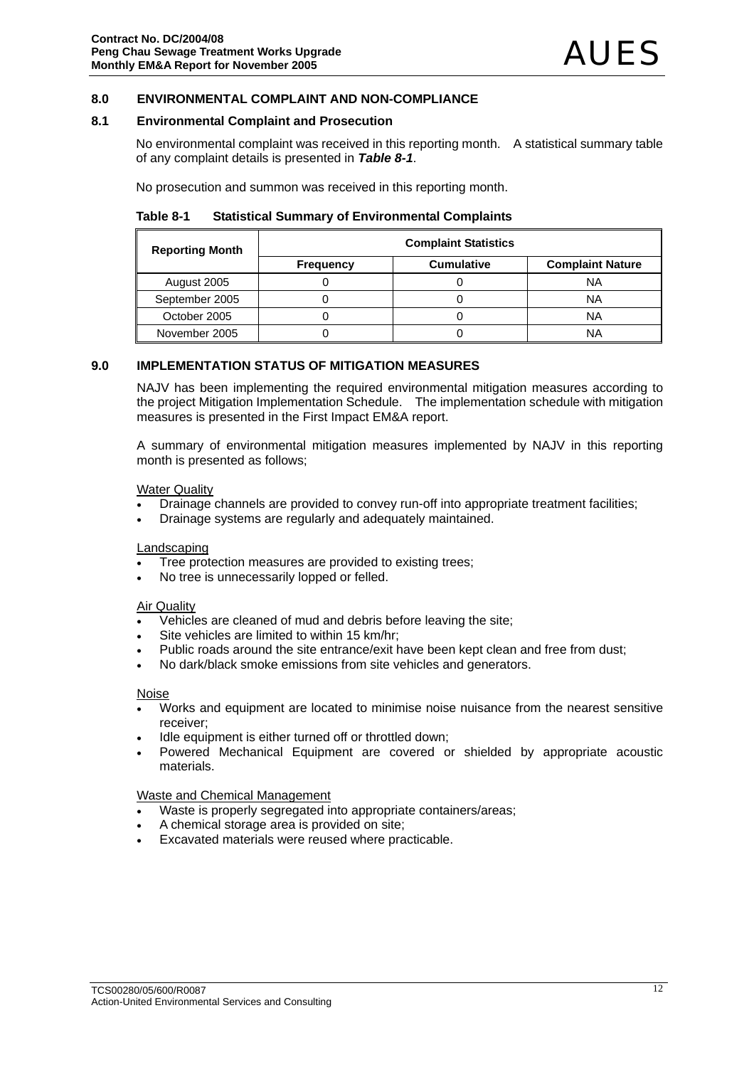### **8.0 ENVIRONMENTAL COMPLAINT AND NON-COMPLIANCE**

#### **8.1 Environmental Complaint and Prosecution**

No environmental complaint was received in this reporting month. A statistical summary table of any complaint details is presented in *Table 8-1*.

No prosecution and summon was received in this reporting month.

| Table 8-1 | <b>Statistical Summary of Environmental Complaints</b> |
|-----------|--------------------------------------------------------|
|           |                                                        |

| <b>Reporting Month</b> | <b>Complaint Statistics</b> |                   |                         |
|------------------------|-----------------------------|-------------------|-------------------------|
|                        | <b>Frequency</b>            | <b>Cumulative</b> | <b>Complaint Nature</b> |
| August 2005            |                             |                   | ΝA                      |
| September 2005         |                             |                   | NA                      |
| October 2005           |                             |                   | ΝA                      |
| November 2005          |                             |                   | NA                      |

### **9.0 IMPLEMENTATION STATUS OF MITIGATION MEASURES**

NAJV has been implementing the required environmental mitigation measures according to the project Mitigation Implementation Schedule. The implementation schedule with mitigation measures is presented in the First Impact EM&A report.

A summary of environmental mitigation measures implemented by NAJV in this reporting month is presented as follows;

#### **Water Quality**

- Drainage channels are provided to convey run-off into appropriate treatment facilities;
- Drainage systems are regularly and adequately maintained.

#### Landscaping

- Tree protection measures are provided to existing trees;
- No tree is unnecessarily lopped or felled.

#### Air Quality

- Vehicles are cleaned of mud and debris before leaving the site;
- Site vehicles are limited to within 15 km/hr;
- Public roads around the site entrance/exit have been kept clean and free from dust;
- No dark/black smoke emissions from site vehicles and generators.

### Noise

- Works and equipment are located to minimise noise nuisance from the nearest sensitive receiver;
- Idle equipment is either turned off or throttled down;
- Powered Mechanical Equipment are covered or shielded by appropriate acoustic materials.

Waste and Chemical Management

- Waste is properly segregated into appropriate containers/areas;
- A chemical storage area is provided on site;
- Excavated materials were reused where practicable.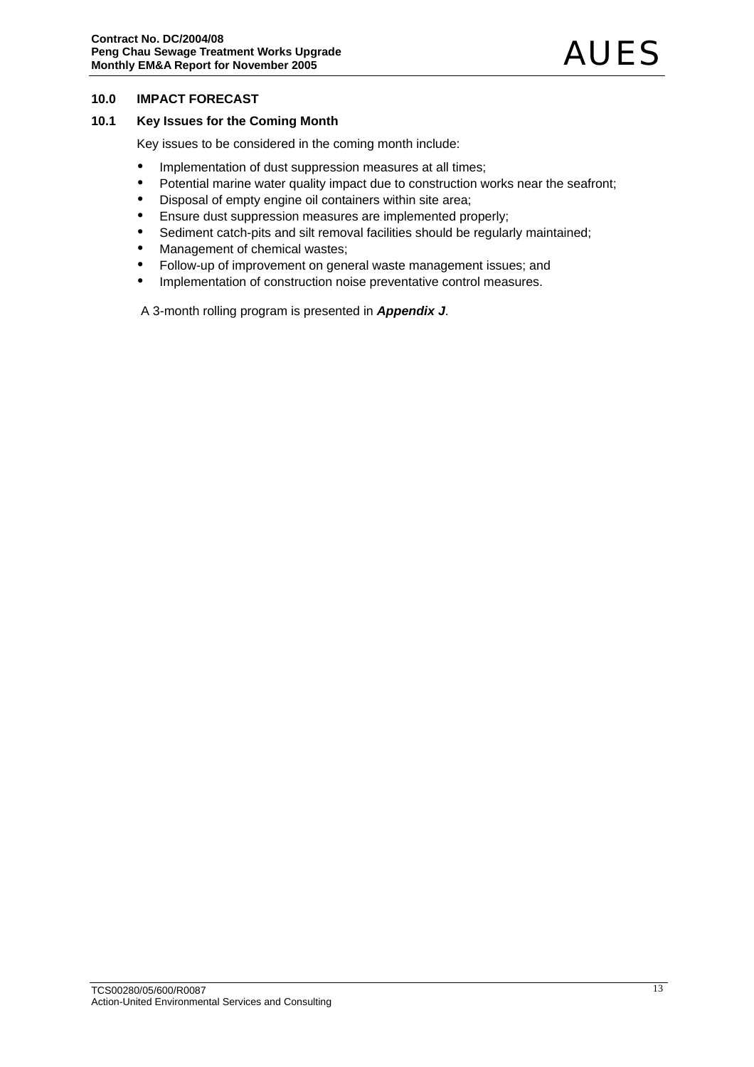# **10.0 IMPACT FORECAST**

# **10.1 Key Issues for the Coming Month**

Key issues to be considered in the coming month include:

- Implementation of dust suppression measures at all times;
- Potential marine water quality impact due to construction works near the seafront;
- Disposal of empty engine oil containers within site area;
- Ensure dust suppression measures are implemented properly;
- Sediment catch-pits and silt removal facilities should be regularly maintained;
- Management of chemical wastes;
- Follow-up of improvement on general waste management issues; and
- Implementation of construction noise preventative control measures.

A 3-month rolling program is presented in *Appendix J*.